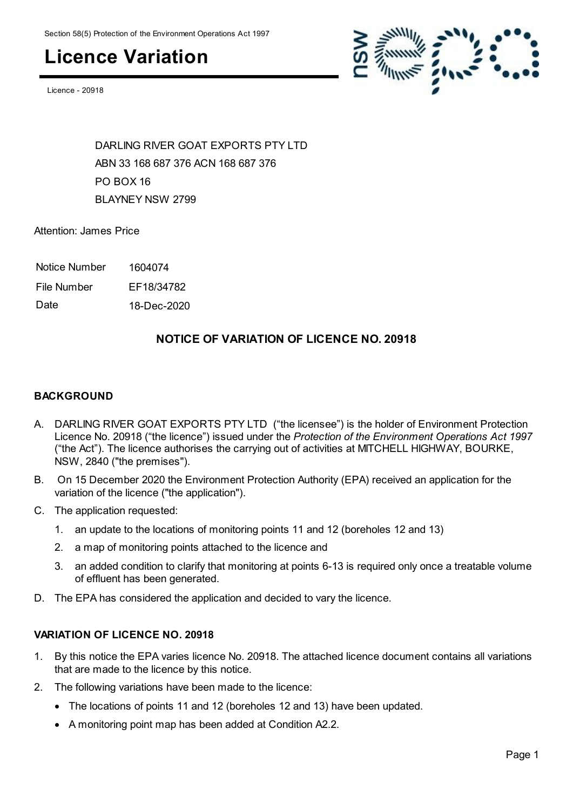### **Licence Variation**

Licence - 20918



DARLING RIVER GOAT EXPORTS PTY LTD ABN 33 168 687 376 ACN 168 687 376 PO BOX 16 BLAYNEY NSW 2799

Attention: James Price

Notice Number 1604074

File Number EF18/34782

Date 18-Dec-2020

#### **NOTICE OF VARIATION OF LICENCE NO. 20918**

#### **BACKGROUND**

- A. DARLING RIVER GOAT EXPORTS PTY LTD ("the licensee") is the holder of Environment Protection Licence No. 20918 ("the licence") issued under the *Protection of the Environment Operations Act 1997* ("the Act"). The licence authorises the carrying out of activities at MITCHELL HIGHWAY, BOURKE, NSW, 2840 ("the premises").
- B. On 15 December 2020 the Environment Protection Authority (EPA) received an application for the variation of the licence ("the application").
- C. The application requested:
	- 1. an update to the locations of monitoring points 11 and 12 (boreholes 12 and 13)
	- 2. a map of monitoring points attached to the licence and
	- 3. an added condition to clarify that monitoring at points 6-13 is required only once a treatable volume of effluent has been generated.
- D. The EPA has considered the application and decided to vary the licence.

#### **VARIATION OF LICENCE NO. 20918**

- 1. By this notice the EPA varies licence No. 20918. The attached licence document contains all variations that are made to the licence by this notice.
- 2. The following variations have been made to the licence:
	- The locations of points 11 and 12 (boreholes 12 and 13) have been updated.
	- A monitoring point map has been added at Condition A2.2.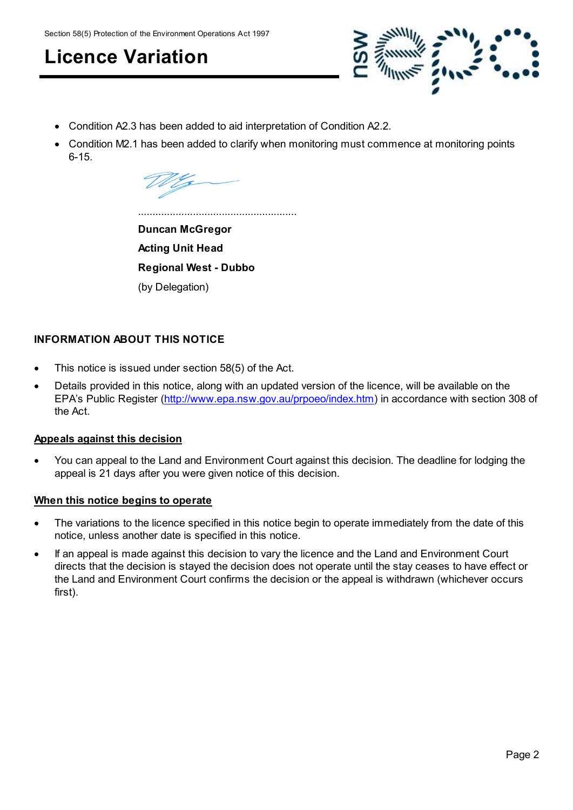Section 58(5) Protection of the Environment Operations Act 1997

**Licence Variation**



Condition A2.3 has been added to aid interpretation of Condition A2.2.

.......................................................

 Condition M2.1 has been added to clarify when monitoring must commence at monitoring points 6-15.

**Duncan McGregor Acting Unit Head Regional West - Dubbo** (by Delegation)

#### **INFORMATION ABOUT THIS NOTICE**

- This notice is issued under section 58(5) of the Act.
- Details provided in this notice, along with an updated version of the licence, will be available on the EPA's Public Register [\(http://www.epa.nsw.gov.au/prpoeo/index.htm](http://www.environment.nsw.gov.au/prpoeo/index.htm)) in accordance with section 308 of the Act.

#### **Appeals against this decision**

 You can appeal to the Land and Environment Court against this decision. The deadline for lodging the appeal is 21 days after you were given notice of this decision.

#### **When this notice begins to operate**

- The variations to the licence specified in this notice begin to operate immediately from the date of this notice, unless another date is specified in this notice.
- If an appeal is made against this decision to vary the licence and the Land and Environment Court directs that the decision is stayed the decision does not operate until the stay ceases to have effect or the Land and Environment Court confirms the decision or the appeal is withdrawn (whichever occurs first).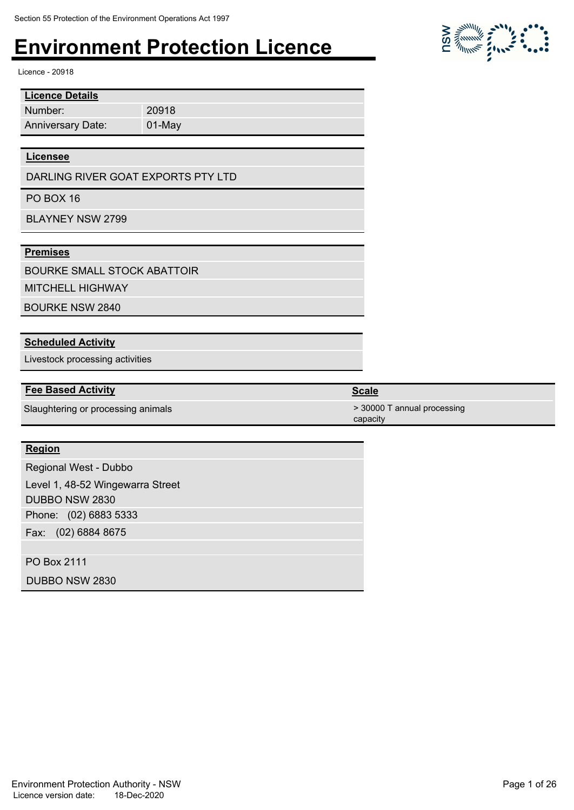20918 01-May

Licence - 20918

| <b>Licence Details</b>   |
|--------------------------|
| Number:                  |
| <b>Anniversary Date:</b> |

#### **Licensee**

DARLING RIVER GOAT EXPORTS PTY LTD

PO BOX 16

BLAYNEY NSW 2799

#### **Premises**

BOURKE SMALL STOCK ABATTOIR

MITCHELL HIGHWAY

BOURKE NSW 2840

#### **Scheduled Activity**

Livestock processing activities

#### **Fee Based Activity Scale**

Slaughtering or processing animals  $>$  30000 T annual processing

#### **Region**

Phone: (02) 6883 5333 Fax: (02) 6884 8675 Regional West - Dubbo Level 1, 48-52 Wingewarra Street DUBBO NSW 2830

PO Box 2111

DUBBO NSW 2830



#### capacity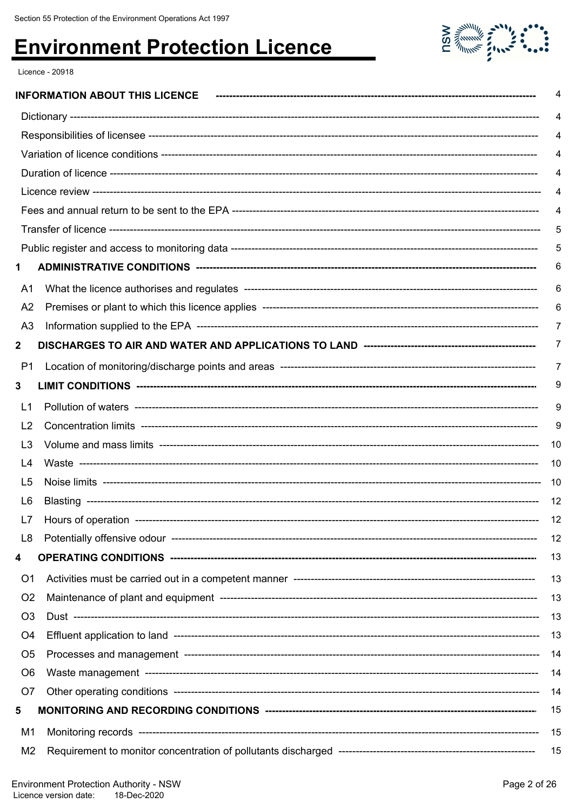

Licence - 20918

|                | <b>INFORMATION ABOUT THIS LICENCE</b> |
|----------------|---------------------------------------|
|                |                                       |
|                |                                       |
|                |                                       |
|                |                                       |
|                |                                       |
|                |                                       |
|                |                                       |
|                |                                       |
| 1              |                                       |
| A1             |                                       |
| A <sub>2</sub> |                                       |
| A <sub>3</sub> |                                       |
| $\mathbf{2}$   |                                       |
| P <sub>1</sub> |                                       |
| 3              |                                       |
| L1             |                                       |
| L <sub>2</sub> |                                       |
| L3             |                                       |
| L4             |                                       |
| L5             |                                       |
| L6             |                                       |
|                |                                       |
| L8             |                                       |
| 4              |                                       |
| O <sub>1</sub> |                                       |
| O <sub>2</sub> |                                       |
| O <sub>3</sub> |                                       |
| O4             |                                       |
| O <sub>5</sub> |                                       |
| O <sub>6</sub> |                                       |
| O7             |                                       |
| 5              |                                       |
| M1             |                                       |
| M2             |                                       |
|                |                                       |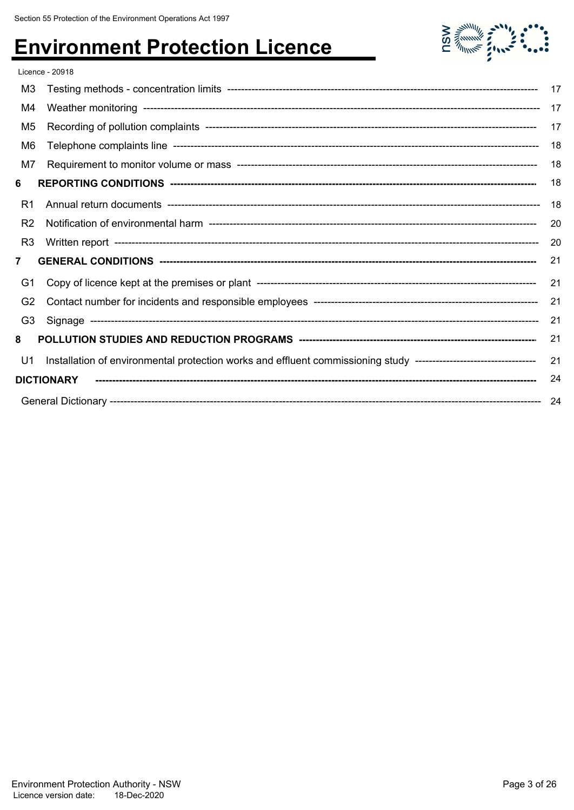

|                | Licence - 20918                                                                                                  |     |
|----------------|------------------------------------------------------------------------------------------------------------------|-----|
| M3             |                                                                                                                  | 17  |
| M4             |                                                                                                                  | 17  |
| M <sub>5</sub> |                                                                                                                  | 17  |
| M6             |                                                                                                                  | 18  |
| M7             |                                                                                                                  | 18  |
| 6              |                                                                                                                  | 18  |
| R1             |                                                                                                                  | 18  |
| R <sub>2</sub> |                                                                                                                  | 20  |
| R <sub>3</sub> |                                                                                                                  | 20  |
| $\overline{7}$ |                                                                                                                  | 21  |
| G1             |                                                                                                                  | 21  |
| G <sub>2</sub> |                                                                                                                  | 21  |
| G <sub>3</sub> |                                                                                                                  | 21  |
| 8              |                                                                                                                  | 21  |
| U <sub>1</sub> | Installation of environmental protection works and effluent commissioning study -------------------------------- | 21  |
|                | <b>DICTIONARY</b>                                                                                                | 24  |
|                |                                                                                                                  | -24 |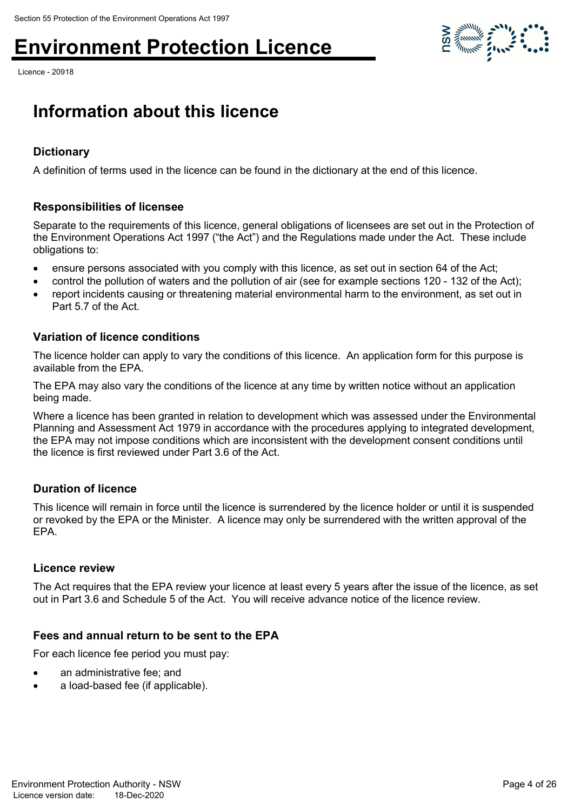Licence - 20918



### **Information about this licence**

#### **Dictionary**

A definition of terms used in the licence can be found in the dictionary at the end of this licence.

#### **Responsibilities of licensee**

Separate to the requirements of this licence, general obligations of licensees are set out in the Protection of the Environment Operations Act 1997 ("the Act") and the Regulations made under the Act. These include obligations to:

- ensure persons associated with you comply with this licence, as set out in section 64 of the Act;
- control the pollution of waters and the pollution of air (see for example sections 120 132 of the Act);
- report incidents causing or threatening material environmental harm to the environment, as set out in Part 5.7 of the Act.

#### **Variation of licence conditions**

The licence holder can apply to vary the conditions of this licence. An application form for this purpose is available from the EPA.

The EPA may also vary the conditions of the licence at any time by written notice without an application being made.

Where a licence has been granted in relation to development which was assessed under the Environmental Planning and Assessment Act 1979 in accordance with the procedures applying to integrated development, the EPA may not impose conditions which are inconsistent with the development consent conditions until the licence is first reviewed under Part 3.6 of the Act.

#### **Duration of licence**

This licence will remain in force until the licence is surrendered by the licence holder or until it is suspended or revoked by the EPA or the Minister. A licence may only be surrendered with the written approval of the EPA.

#### **Licence review**

The Act requires that the EPA review your licence at least every 5 years after the issue of the licence, as set out in Part 3.6 and Schedule 5 of the Act. You will receive advance notice of the licence review.

#### **Fees and annual return to be sent to the EPA**

For each licence fee period you must pay:

- an administrative fee; and
- a load-based fee (if applicable).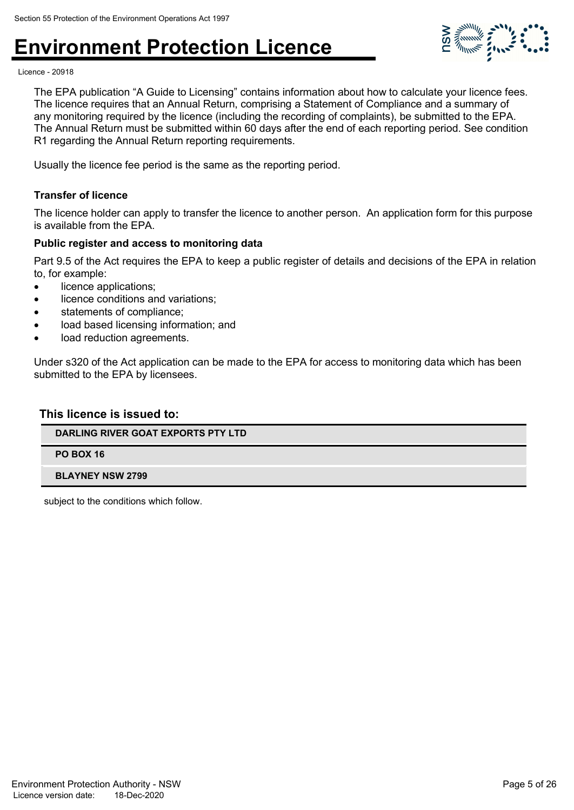

Licence - 20918

The EPA publication "A Guide to Licensing" contains information about how to calculate your licence fees. The licence requires that an Annual Return, comprising a Statement of Compliance and a summary of any monitoring required by the licence (including the recording of complaints), be submitted to the EPA. The Annual Return must be submitted within 60 days after the end of each reporting period. See condition R1 regarding the Annual Return reporting requirements.

Usually the licence fee period is the same as the reporting period.

#### **Transfer of licence**

The licence holder can apply to transfer the licence to another person. An application form for this purpose is available from the EPA.

#### **Public register and access to monitoring data**

Part 9.5 of the Act requires the EPA to keep a public register of details and decisions of the EPA in relation to, for example:

- licence applications;
- licence conditions and variations;
- statements of compliance;
- load based licensing information; and
- load reduction agreements.

Under s320 of the Act application can be made to the EPA for access to monitoring data which has been submitted to the EPA by licensees.

#### **This licence is issued to:**

#### **DARLING RIVER GOAT EXPORTS PTY LTD**

**PO BOX 16**

#### **BLAYNEY NSW 2799**

subject to the conditions which follow.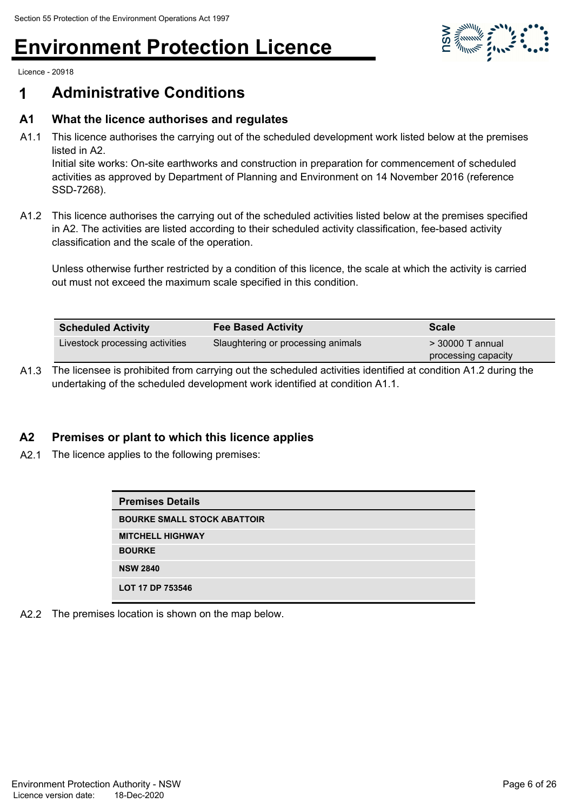

Licence - 20918

### **1 Administrative Conditions**

#### **A1 What the licence authorises and regulates**

A1.1 This licence authorises the carrying out of the scheduled development work listed below at the premises listed in A2.

Initial site works: On-site earthworks and construction in preparation for commencement of scheduled activities as approved by Department of Planning and Environment on 14 November 2016 (reference SSD-7268).

A1.2 This licence authorises the carrying out of the scheduled activities listed below at the premises specified in A2. The activities are listed according to their scheduled activity classification, fee-based activity classification and the scale of the operation.

Unless otherwise further restricted by a condition of this licence, the scale at which the activity is carried out must not exceed the maximum scale specified in this condition.

| <b>Scheduled Activity</b>       | <b>Fee Based Activity</b>          | <b>Scale</b>        |
|---------------------------------|------------------------------------|---------------------|
| Livestock processing activities | Slaughtering or processing animals | $>$ 30000 T annual  |
|                                 |                                    | processing capacity |

A1.3 The licensee is prohibited from carrying out the scheduled activities identified at condition A1.2 during the undertaking of the scheduled development work identified at condition A1.1.

#### **A2 Premises or plant to which this licence applies**

A2.1 The licence applies to the following premises:

| <b>Premises Details</b>            |
|------------------------------------|
| <b>BOURKE SMALL STOCK ABATTOIR</b> |
| <b>MITCHELL HIGHWAY</b>            |
| <b>BOURKE</b>                      |
| <b>NSW 2840</b>                    |
| LOT 17 DP 753546                   |

A2.2 The premises location is shown on the map below.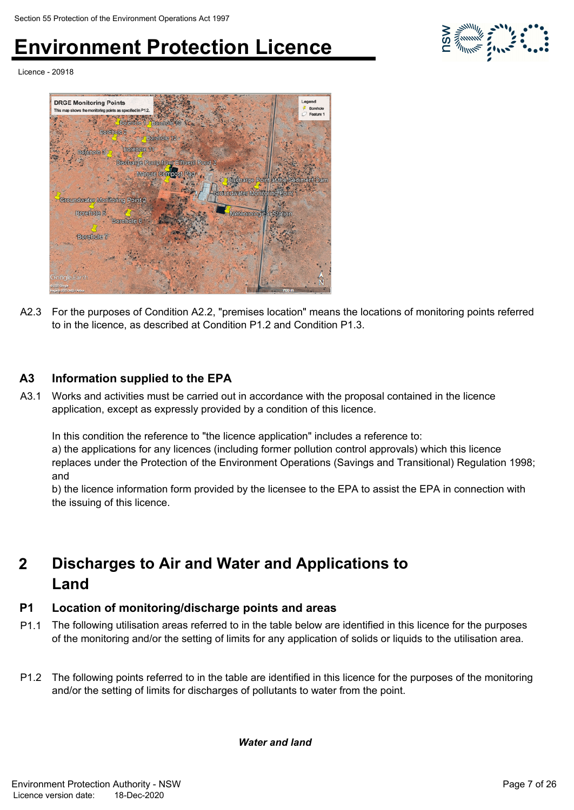

Licence - 20918



A2.3 For the purposes of Condition A2.2, "premises location" means the locations of monitoring points referred to in the licence, as described at Condition P1.2 and Condition P1.3.

#### **A3 Information supplied to the EPA**

A3.1 Works and activities must be carried out in accordance with the proposal contained in the licence application, except as expressly provided by a condition of this licence.

In this condition the reference to "the licence application" includes a reference to:

a) the applications for any licences (including former pollution control approvals) which this licence replaces under the Protection of the Environment Operations (Savings and Transitional) Regulation 1998; and

b) the licence information form provided by the licensee to the EPA to assist the EPA in connection with the issuing of this licence.

#### **Discharges to Air and Water and Applications to Land 2**

#### **P1 Location of monitoring/discharge points and areas**

- P1.1 The following utilisation areas referred to in the table below are identified in this licence for the purposes of the monitoring and/or the setting of limits for any application of solids or liquids to the utilisation area.
- P1.2 The following points referred to in the table are identified in this licence for the purposes of the monitoring and/or the setting of limits for discharges of pollutants to water from the point.

*Water and land*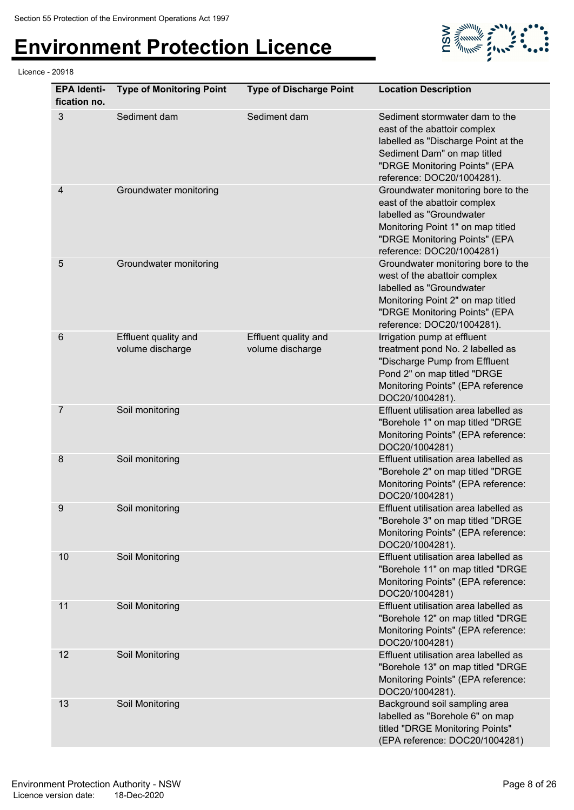Licence - 20918

# **Environment Protection Licence**



| <b>EPA Identi-</b><br>fication no. | <b>Type of Monitoring Point</b>          | <b>Type of Discharge Point</b>           | <b>Location Description</b>                                                                                                                                                                         |
|------------------------------------|------------------------------------------|------------------------------------------|-----------------------------------------------------------------------------------------------------------------------------------------------------------------------------------------------------|
| 3                                  | Sediment dam                             | Sediment dam                             | Sediment stormwater dam to the<br>east of the abattoir complex<br>labelled as "Discharge Point at the<br>Sediment Dam" on map titled<br>"DRGE Monitoring Points" (EPA<br>reference: DOC20/1004281). |
| $\overline{4}$                     | Groundwater monitoring                   |                                          | Groundwater monitoring bore to the<br>east of the abattoir complex<br>labelled as "Groundwater<br>Monitoring Point 1" on map titled<br>"DRGE Monitoring Points" (EPA<br>reference: DOC20/1004281)   |
| 5                                  | Groundwater monitoring                   |                                          | Groundwater monitoring bore to the<br>west of the abattoir complex<br>labelled as "Groundwater<br>Monitoring Point 2" on map titled<br>"DRGE Monitoring Points" (EPA<br>reference: DOC20/1004281).  |
| $6\phantom{1}6$                    | Effluent quality and<br>volume discharge | Effluent quality and<br>volume discharge | Irrigation pump at effluent<br>treatment pond No. 2 labelled as<br>"Discharge Pump from Effluent<br>Pond 2" on map titled "DRGE<br>Monitoring Points" (EPA reference<br>DOC20/1004281).             |
| 7                                  | Soil monitoring                          |                                          | Effluent utilisation area labelled as<br>"Borehole 1" on map titled "DRGE<br>Monitoring Points" (EPA reference:<br>DOC20/1004281)                                                                   |
| 8                                  | Soil monitoring                          |                                          | Effluent utilisation area labelled as<br>"Borehole 2" on map titled "DRGE<br>Monitoring Points" (EPA reference:<br>DOC20/1004281)                                                                   |
| 9                                  | Soil monitoring                          |                                          | Effluent utilisation area labelled as<br>"Borehole 3" on map titled "DRGE<br>Monitoring Points" (EPA reference:<br>DOC20/1004281).                                                                  |
| 10                                 | Soil Monitoring                          |                                          | Effluent utilisation area labelled as<br>"Borehole 11" on map titled "DRGE<br>Monitoring Points" (EPA reference:<br>DOC20/1004281)                                                                  |
| 11                                 | Soil Monitoring                          |                                          | Effluent utilisation area labelled as<br>"Borehole 12" on map titled "DRGE<br>Monitoring Points" (EPA reference:<br>DOC20/1004281)                                                                  |
| 12                                 | Soil Monitoring                          |                                          | Effluent utilisation area labelled as<br>"Borehole 13" on map titled "DRGE<br>Monitoring Points" (EPA reference:<br>DOC20/1004281).                                                                 |
| 13                                 | Soil Monitoring                          |                                          | Background soil sampling area<br>labelled as "Borehole 6" on map<br>titled "DRGE Monitoring Points"<br>(EPA reference: DOC20/1004281)                                                               |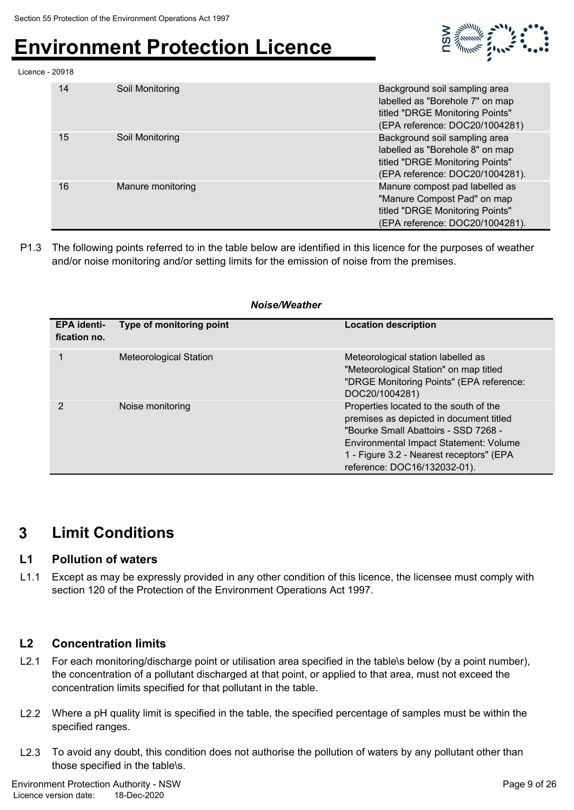

#### Licence - 20918

| 14 | Soil Monitoring   | Background soil sampling area<br>labelled as "Borehole 7" on map<br>titled "DRGE Monitoring Points"<br>(EPA reference: DOC20/1004281)  |
|----|-------------------|----------------------------------------------------------------------------------------------------------------------------------------|
| 15 | Soil Monitoring   | Background soil sampling area<br>labelled as "Borehole 8" on map<br>titled "DRGE Monitoring Points"<br>(EPA reference: DOC20/1004281). |
| 16 | Manure monitoring | Manure compost pad labelled as<br>"Manure Compost Pad" on map<br>titled "DRGE Monitoring Points"<br>(EPA reference: DOC20/1004281).    |

P1.3 The following points referred to in the table below are identified in this licence for the purposes of weather and/or noise monitoring and/or setting limits for the emission of noise from the premises.

#### *Noise/Weather*

| <b>EPA identi-</b><br>fication no. | Type of monitoring point | <b>Location description</b>                                                                                                                                                                                                                     |
|------------------------------------|--------------------------|-------------------------------------------------------------------------------------------------------------------------------------------------------------------------------------------------------------------------------------------------|
| 1                                  | Meteorological Station   | Meteorological station labelled as<br>"Meteorological Station" on map titled<br>"DRGE Monitoring Points" (EPA reference:<br>DOC20/1004281)                                                                                                      |
| 2                                  | Noise monitoring         | Properties located to the south of the<br>premises as depicted in document titled<br>"Bourke Small Abattoirs - SSD 7268 -<br>Environmental Impact Statement: Volume<br>1 - Figure 3.2 - Nearest receptors" (EPA<br>reference: DOC16/132032-01). |

### **3 Limit Conditions**

#### **L1 Pollution of waters**

L1.1 Except as may be expressly provided in any other condition of this licence, the licensee must comply with section 120 of the Protection of the Environment Operations Act 1997.

#### **L2 Concentration limits**

- L2.1 For each monitoring/discharge point or utilisation area specified in the table\s below (by a point number), the concentration of a pollutant discharged at that point, or applied to that area, must not exceed the concentration limits specified for that pollutant in the table.
- L2.2 Where a pH quality limit is specified in the table, the specified percentage of samples must be within the specified ranges.
- L2.3 To avoid any doubt, this condition does not authorise the pollution of waters by any pollutant other than those specified in the table\s.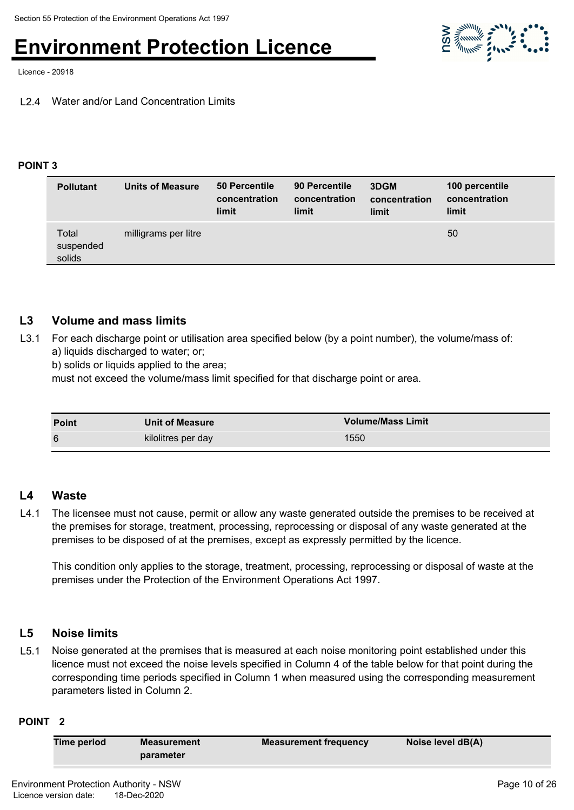

Licence - 20918

#### L2.4 Water and/or Land Concentration Limits

#### **POINT 3**

| <b>Pollutant</b>             | Units of Measure     | 50 Percentile<br>concentration<br>limit | 90 Percentile<br>concentration<br>limit | 3DGM<br>concentration<br>limit | 100 percentile<br>concentration<br>limit |
|------------------------------|----------------------|-----------------------------------------|-----------------------------------------|--------------------------------|------------------------------------------|
| Total<br>suspended<br>solids | milligrams per litre |                                         |                                         |                                | 50                                       |

#### **L3 Volume and mass limits**

L3.1 For each discharge point or utilisation area specified below (by a point number), the volume/mass of: a) liquids discharged to water; or;

b) solids or liquids applied to the area;

must not exceed the volume/mass limit specified for that discharge point or area.

| <b>Point</b> | <b>Unit of Measure</b> | <b>Volume/Mass Limit</b> |
|--------------|------------------------|--------------------------|
| 6            | kilolitres per day     | 1550                     |

#### **L4 Waste**

L4.1 The licensee must not cause, permit or allow any waste generated outside the premises to be received at the premises for storage, treatment, processing, reprocessing or disposal of any waste generated at the premises to be disposed of at the premises, except as expressly permitted by the licence.

This condition only applies to the storage, treatment, processing, reprocessing or disposal of waste at the premises under the Protection of the Environment Operations Act 1997.

#### **L5 Noise limits**

L5.1 Noise generated at the premises that is measured at each noise monitoring point established under this licence must not exceed the noise levels specified in Column 4 of the table below for that point during the corresponding time periods specified in Column 1 when measured using the corresponding measurement parameters listed in Column 2.

#### **POINT 2**

| <b>Time period</b> | <b>Measurement</b> | <b>Measurement frequency</b> | Noise level dB(A) |
|--------------------|--------------------|------------------------------|-------------------|
|                    | parameter          |                              |                   |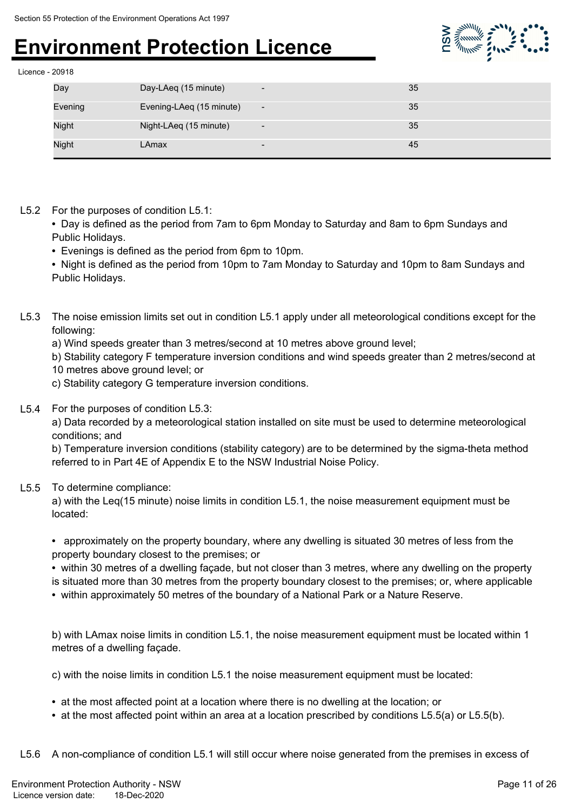

| Licence - 20918 |  |
|-----------------|--|
|                 |  |

| Day          | Day-LAeq (15 minute)     | $\overline{\phantom{a}}$ | 35 |
|--------------|--------------------------|--------------------------|----|
| Evening      | Evening-LAeq (15 minute) | $\overline{\phantom{a}}$ | 35 |
| <b>Night</b> | Night-LAeq (15 minute)   | $\overline{\phantom{a}}$ | 35 |
| <b>Night</b> | LAmax                    | $\overline{\phantom{a}}$ | 45 |

L5.2 For the purposes of condition L5.1:

**•** Day is defined as the period from 7am to 6pm Monday to Saturday and 8am to 6pm Sundays and Public Holidays.

**•** Evenings is defined as the period from 6pm to 10pm.

**•** Night is defined as the period from 10pm to 7am Monday to Saturday and 10pm to 8am Sundays and Public Holidays.

- L5.3 The noise emission limits set out in condition L5.1 apply under all meteorological conditions except for the following:
	- a) Wind speeds greater than 3 metres/second at 10 metres above ground level;

b) Stability category F temperature inversion conditions and wind speeds greater than 2 metres/second at

- 10 metres above ground level; or
- c) Stability category G temperature inversion conditions.
- L5.4 For the purposes of condition L5.3:

a) Data recorded by a meteorological station installed on site must be used to determine meteorological conditions; and

b) Temperature inversion conditions (stability category) are to be determined by the sigma-theta method referred to in Part 4E of Appendix E to the NSW Industrial Noise Policy.

#### L5.5 To determine compliance:

a) with the Leq(15 minute) noise limits in condition L5.1, the noise measurement equipment must be located:

**•** approximately on the property boundary, where any dwelling is situated 30 metres of less from the property boundary closest to the premises; or

**•** within 30 metres of a dwelling façade, but not closer than 3 metres, where any dwelling on the property is situated more than 30 metres from the property boundary closest to the premises; or, where applicable

**•** within approximately 50 metres of the boundary of a National Park or a Nature Reserve.

b) with LAmax noise limits in condition L5.1, the noise measurement equipment must be located within 1 metres of a dwelling façade.

c) with the noise limits in condition L5.1 the noise measurement equipment must be located:

- at the most affected point at a location where there is no dwelling at the location; or
- at the most affected point within an area at a location prescribed by conditions L5.5(a) or L5.5(b).

L5.6 A non-compliance of condition L5.1 will still occur where noise generated from the premises in excess of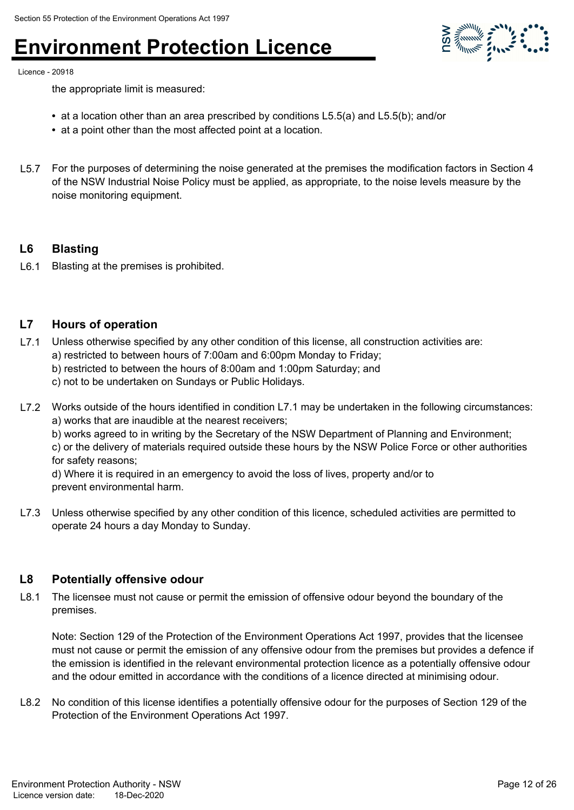

Licence - 20918

the appropriate limit is measured:

- at a location other than an area prescribed by conditions L5.5(a) and L5.5(b); and/or
- at a point other than the most affected point at a location.
- L5.7 For the purposes of determining the noise generated at the premises the modification factors in Section 4 of the NSW Industrial Noise Policy must be applied, as appropriate, to the noise levels measure by the noise monitoring equipment.

#### **L6 Blasting**

L6.1 Blasting at the premises is prohibited.

#### **L7 Hours of operation**

- L7.1 Unless otherwise specified by any other condition of this license, all construction activities are: a) restricted to between hours of 7:00am and 6:00pm Monday to Friday;
	- b) restricted to between the hours of 8:00am and 1:00pm Saturday; and

c) not to be undertaken on Sundays or Public Holidays.

L7.2 Works outside of the hours identified in condition L7.1 may be undertaken in the following circumstances: a) works that are inaudible at the nearest receivers;

b) works agreed to in writing by the Secretary of the NSW Department of Planning and Environment;

c) or the delivery of materials required outside these hours by the NSW Police Force or other authorities for safety reasons;

d) Where it is required in an emergency to avoid the loss of lives, property and/or to prevent environmental harm.

L7.3 Unless otherwise specified by any other condition of this licence, scheduled activities are permitted to operate 24 hours a day Monday to Sunday.

#### **L8 Potentially offensive odour**

L8.1 The licensee must not cause or permit the emission of offensive odour beyond the boundary of the premises.

Note: Section 129 of the Protection of the Environment Operations Act 1997, provides that the licensee must not cause or permit the emission of any offensive odour from the premises but provides a defence if the emission is identified in the relevant environmental protection licence as a potentially offensive odour and the odour emitted in accordance with the conditions of a licence directed at minimising odour.

L8.2 No condition of this license identifies a potentially offensive odour for the purposes of Section 129 of the Protection of the Environment Operations Act 1997.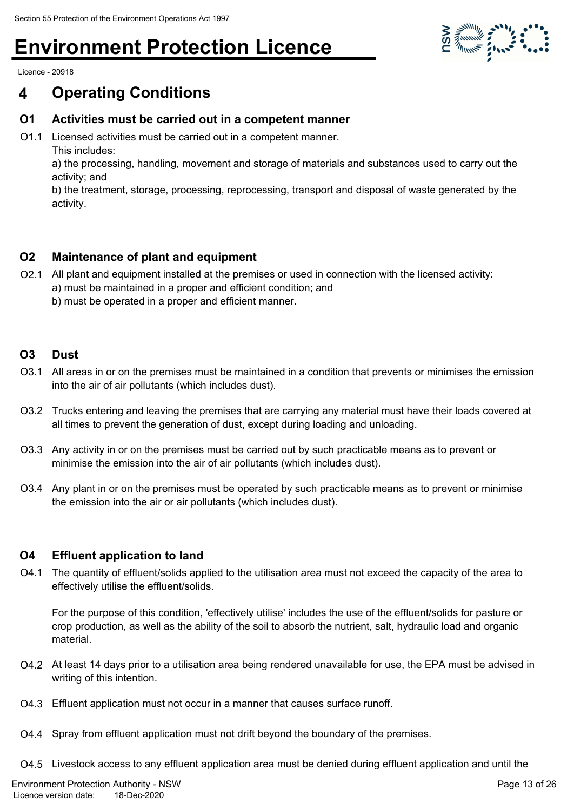

Licence - 20918

### **4 Operating Conditions**

#### **O1 Activities must be carried out in a competent manner**

O1.1 Licensed activities must be carried out in a competent manner. This includes:

a) the processing, handling, movement and storage of materials and substances used to carry out the activity; and

b) the treatment, storage, processing, reprocessing, transport and disposal of waste generated by the activity.

#### **O2 Maintenance of plant and equipment**

- O2.1 All plant and equipment installed at the premises or used in connection with the licensed activity:
	- a) must be maintained in a proper and efficient condition; and
	- b) must be operated in a proper and efficient manner.

#### **O3 Dust**

- O3.1 All areas in or on the premises must be maintained in a condition that prevents or minimises the emission into the air of air pollutants (which includes dust).
- O3.2 Trucks entering and leaving the premises that are carrying any material must have their loads covered at all times to prevent the generation of dust, except during loading and unloading.
- O3.3 Any activity in or on the premises must be carried out by such practicable means as to prevent or minimise the emission into the air of air pollutants (which includes dust).
- O3.4 Any plant in or on the premises must be operated by such practicable means as to prevent or minimise the emission into the air or air pollutants (which includes dust).

#### **O4 Effluent application to land**

O4.1 The quantity of effluent/solids applied to the utilisation area must not exceed the capacity of the area to effectively utilise the effluent/solids.

For the purpose of this condition, 'effectively utilise' includes the use of the effluent/solids for pasture or crop production, as well as the ability of the soil to absorb the nutrient, salt, hydraulic load and organic material.

- O4.2 At least 14 days prior to a utilisation area being rendered unavailable for use, the EPA must be advised in writing of this intention.
- O4.3 Effluent application must not occur in a manner that causes surface runoff.
- O4.4 Spray from effluent application must not drift beyond the boundary of the premises.
- O4.5 Livestock access to any effluent application area must be denied during effluent application and until the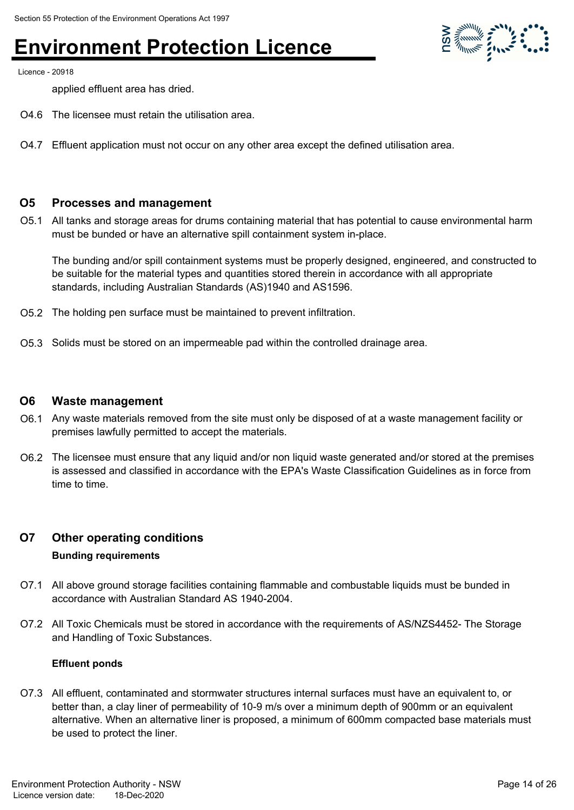

Licence - 20918

applied effluent area has dried.

- O4.6 The licensee must retain the utilisation area.
- O4.7 Effluent application must not occur on any other area except the defined utilisation area.

#### **O5 Processes and management**

O5.1 All tanks and storage areas for drums containing material that has potential to cause environmental harm must be bunded or have an alternative spill containment system in-place.

The bunding and/or spill containment systems must be properly designed, engineered, and constructed to be suitable for the material types and quantities stored therein in accordance with all appropriate standards, including Australian Standards (AS)1940 and AS1596.

- O5.2 The holding pen surface must be maintained to prevent infiltration.
- O5.3 Solids must be stored on an impermeable pad within the controlled drainage area.

#### **O6 Waste management**

- O6.1 Any waste materials removed from the site must only be disposed of at a waste management facility or premises lawfully permitted to accept the materials.
- O6.2 The licensee must ensure that any liquid and/or non liquid waste generated and/or stored at the premises is assessed and classified in accordance with the EPA's Waste Classification Guidelines as in force from time to time.

#### **O7 Other operating conditions**

#### **Bunding requirements**

- O7.1 All above ground storage facilities containing flammable and combustable liquids must be bunded in accordance with Australian Standard AS 1940-2004.
- O7.2 All Toxic Chemicals must be stored in accordance with the requirements of AS/NZS4452- The Storage and Handling of Toxic Substances.

#### **Effluent ponds**

O7.3 All effluent, contaminated and stormwater structures internal surfaces must have an equivalent to, or better than, a clay liner of permeability of 10-9 m/s over a minimum depth of 900mm or an equivalent alternative. When an alternative liner is proposed, a minimum of 600mm compacted base materials must be used to protect the liner.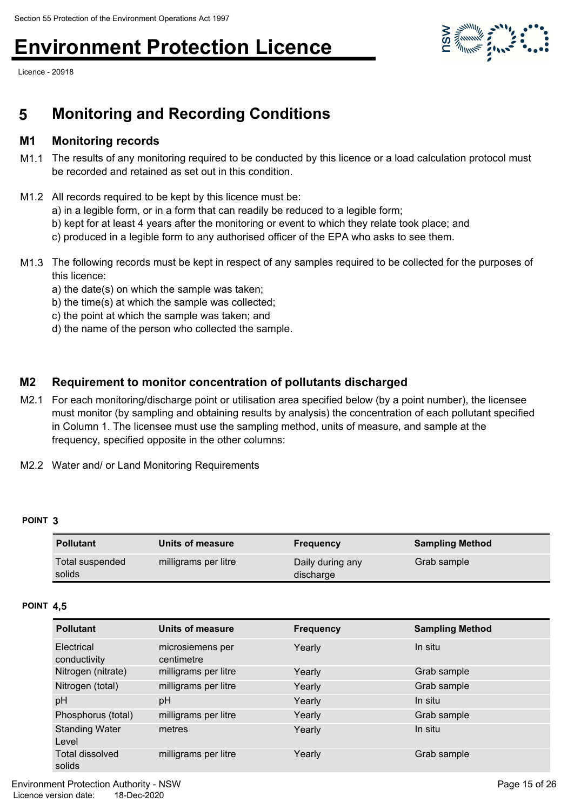Licence - 20918



### **5 Monitoring and Recording Conditions**

#### **M1 Monitoring records**

- M1.1 The results of any monitoring required to be conducted by this licence or a load calculation protocol must be recorded and retained as set out in this condition.
- M1.2 All records required to be kept by this licence must be:
	- a) in a legible form, or in a form that can readily be reduced to a legible form;
	- b) kept for at least 4 years after the monitoring or event to which they relate took place; and
	- c) produced in a legible form to any authorised officer of the EPA who asks to see them.
- M1.3 The following records must be kept in respect of any samples required to be collected for the purposes of this licence:
	- a) the date(s) on which the sample was taken;
	- b) the time(s) at which the sample was collected;
	- c) the point at which the sample was taken; and
	- d) the name of the person who collected the sample.

#### **M2 Requirement to monitor concentration of pollutants discharged**

- M2.1 For each monitoring/discharge point or utilisation area specified below (by a point number), the licensee must monitor (by sampling and obtaining results by analysis) the concentration of each pollutant specified in Column 1. The licensee must use the sampling method, units of measure, and sample at the frequency, specified opposite in the other columns:
- M2.2 Water and/ or Land Monitoring Requirements

#### **POINT 3**

| <b>Pollutant</b>          | Units of measure     | <b>Frequency</b>              | <b>Sampling Method</b> |
|---------------------------|----------------------|-------------------------------|------------------------|
| Total suspended<br>solids | milligrams per litre | Daily during any<br>discharge | Grab sample            |

#### **POINT 4,5**

| <b>Pollutant</b>                 | Units of measure               | <b>Frequency</b> | <b>Sampling Method</b> |
|----------------------------------|--------------------------------|------------------|------------------------|
| Electrical<br>conductivity       | microsiemens per<br>centimetre | Yearly           | In situ                |
| Nitrogen (nitrate)               | milligrams per litre           | Yearly           | Grab sample            |
| Nitrogen (total)                 | milligrams per litre           | Yearly           | Grab sample            |
| pH                               | pH                             | Yearly           | In situ                |
| Phosphorus (total)               | milligrams per litre           | Yearly           | Grab sample            |
| <b>Standing Water</b><br>Level   | metres                         | Yearly           | In situ                |
| <b>Total dissolved</b><br>solids | milligrams per litre           | Yearly           | Grab sample            |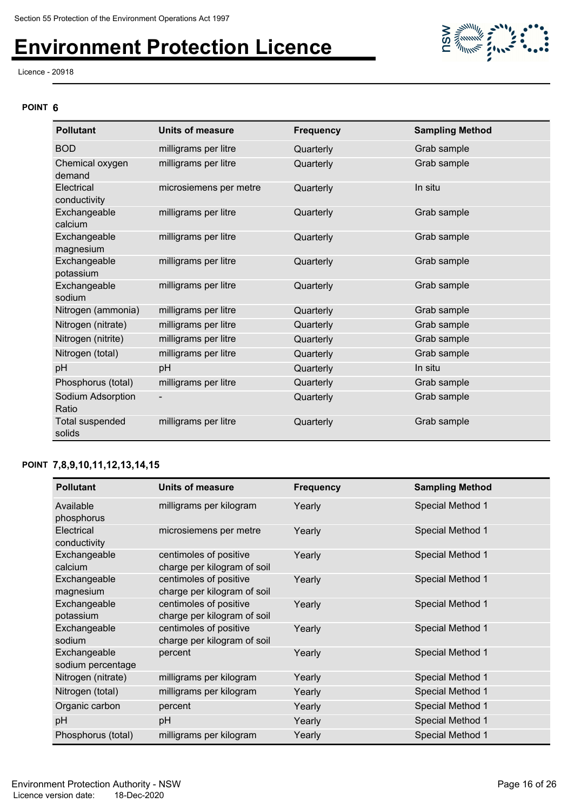Licence - 20918

# **MARKET STATE**

#### **POINT 6**

| <b>Pollutant</b>           | <b>Units of measure</b>  | <b>Frequency</b> | <b>Sampling Method</b> |
|----------------------------|--------------------------|------------------|------------------------|
| <b>BOD</b>                 | milligrams per litre     | Quarterly        | Grab sample            |
| Chemical oxygen<br>demand  | milligrams per litre     | Quarterly        | Grab sample            |
| Electrical<br>conductivity | microsiemens per metre   | Quarterly        | In situ                |
| Exchangeable<br>calcium    | milligrams per litre     | Quarterly        | Grab sample            |
| Exchangeable<br>magnesium  | milligrams per litre     | Quarterly        | Grab sample            |
| Exchangeable<br>potassium  | milligrams per litre     | Quarterly        | Grab sample            |
| Exchangeable<br>sodium     | milligrams per litre     | Quarterly        | Grab sample            |
| Nitrogen (ammonia)         | milligrams per litre     | Quarterly        | Grab sample            |
| Nitrogen (nitrate)         | milligrams per litre     | Quarterly        | Grab sample            |
| Nitrogen (nitrite)         | milligrams per litre     | Quarterly        | Grab sample            |
| Nitrogen (total)           | milligrams per litre     | Quarterly        | Grab sample            |
| pH                         | pH                       | Quarterly        | In situ                |
| Phosphorus (total)         | milligrams per litre     | Quarterly        | Grab sample            |
| Sodium Adsorption<br>Ratio | $\overline{\phantom{a}}$ | Quarterly        | Grab sample            |
| Total suspended<br>solids  | milligrams per litre     | Quarterly        | Grab sample            |

#### **POINT 7,8,9,10,11,12,13,14,15**

| <b>Pollutant</b>                  | Units of measure                                      | <b>Frequency</b> | <b>Sampling Method</b> |
|-----------------------------------|-------------------------------------------------------|------------------|------------------------|
| Available<br>phosphorus           | milligrams per kilogram                               | Yearly           | Special Method 1       |
| Electrical<br>conductivity        | microsiemens per metre                                | Yearly           | Special Method 1       |
| Exchangeable<br>calcium           | centimoles of positive<br>charge per kilogram of soil | Yearly           | Special Method 1       |
| Exchangeable<br>magnesium         | centimoles of positive<br>charge per kilogram of soil | Yearly           | Special Method 1       |
| Exchangeable<br>potassium         | centimoles of positive<br>charge per kilogram of soil | Yearly           | Special Method 1       |
| Exchangeable<br>sodium            | centimoles of positive<br>charge per kilogram of soil | Yearly           | Special Method 1       |
| Exchangeable<br>sodium percentage | percent                                               | Yearly           | Special Method 1       |
| Nitrogen (nitrate)                | milligrams per kilogram                               | Yearly           | Special Method 1       |
| Nitrogen (total)                  | milligrams per kilogram                               | Yearly           | Special Method 1       |
| Organic carbon                    | percent                                               | Yearly           | Special Method 1       |
| pH                                | pH                                                    | Yearly           | Special Method 1       |
| Phosphorus (total)                | milligrams per kilogram                               | Yearly           | Special Method 1       |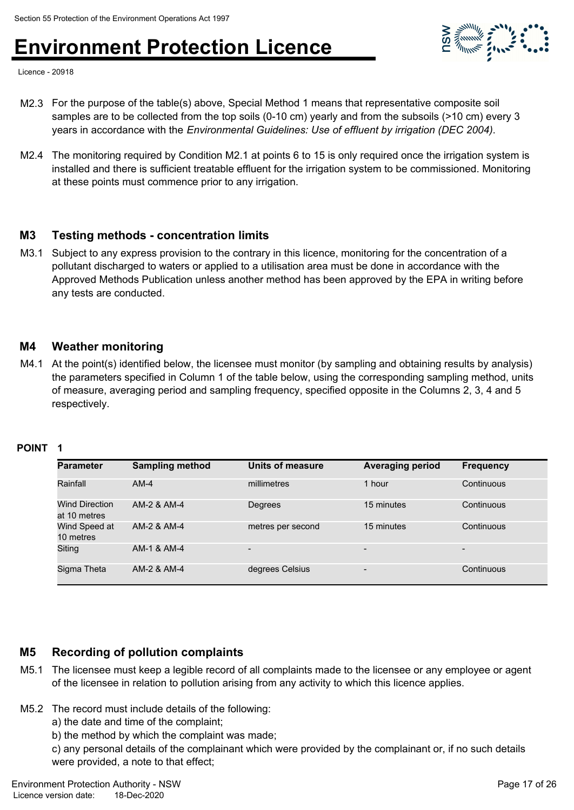

Licence - 20918

- M2.3 For the purpose of the table(s) above, Special Method 1 means that representative composite soil samples are to be collected from the top soils (0-10 cm) yearly and from the subsoils (>10 cm) every 3 years in accordance with the *Environmental Guidelines: Use of effluent by irrigation (DEC 2004)*.
- M2.4 The monitoring required by Condition M2.1 at points 6 to 15 is only required once the irrigation system is installed and there is sufficient treatable effluent for the irrigation system to be commissioned. Monitoring at these points must commence prior to any irrigation.

#### **M3 Testing methods - concentration limits**

M3.1 Subject to any express provision to the contrary in this licence, monitoring for the concentration of a pollutant discharged to waters or applied to a utilisation area must be done in accordance with the Approved Methods Publication unless another method has been approved by the EPA in writing before any tests are conducted.

#### **M4 Weather monitoring**

M4.1 At the point(s) identified below, the licensee must monitor (by sampling and obtaining results by analysis) the parameters specified in Column 1 of the table below, using the corresponding sampling method, units of measure, averaging period and sampling frequency, specified opposite in the Columns 2, 3, 4 and 5 respectively.

#### **POINT 1**

| <b>Parameter</b>                      | <b>Sampling method</b> | Units of measure         | <b>Averaging period</b>  | <b>Frequency</b> |
|---------------------------------------|------------------------|--------------------------|--------------------------|------------------|
| Rainfall                              | $AM-4$                 | millimetres              | 1 hour                   | Continuous       |
| <b>Wind Direction</b><br>at 10 metres | AM-2 & AM-4            | Degrees                  | 15 minutes               | Continuous       |
| Wind Speed at<br>10 metres            | AM-2 & AM-4            | metres per second        | 15 minutes               | Continuous       |
| Siting                                | AM-1 & AM-4            | $\overline{\phantom{0}}$ | -                        |                  |
| Sigma Theta                           | AM-2 & AM-4            | degrees Celsius          | $\overline{\phantom{0}}$ | Continuous       |

#### **M5 Recording of pollution complaints**

- M5.1 The licensee must keep a legible record of all complaints made to the licensee or any employee or agent of the licensee in relation to pollution arising from any activity to which this licence applies.
- M5.2 The record must include details of the following:
	- a) the date and time of the complaint;
	- b) the method by which the complaint was made;

c) any personal details of the complainant which were provided by the complainant or, if no such details were provided, a note to that effect;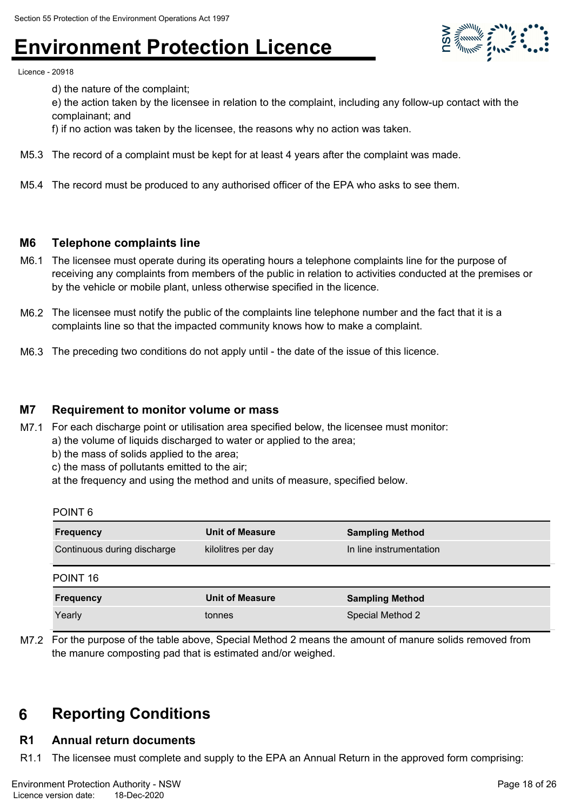

Licence - 20918

d) the nature of the complaint;

e) the action taken by the licensee in relation to the complaint, including any follow-up contact with the complainant; and

f) if no action was taken by the licensee, the reasons why no action was taken.

- M5.3 The record of a complaint must be kept for at least 4 years after the complaint was made.
- M5.4 The record must be produced to any authorised officer of the EPA who asks to see them.

#### **M6 Telephone complaints line**

- M6.1 The licensee must operate during its operating hours a telephone complaints line for the purpose of receiving any complaints from members of the public in relation to activities conducted at the premises or by the vehicle or mobile plant, unless otherwise specified in the licence.
- M6.2 The licensee must notify the public of the complaints line telephone number and the fact that it is a complaints line so that the impacted community knows how to make a complaint.
- M6.3 The preceding two conditions do not apply until the date of the issue of this licence.

#### **M7 Requirement to monitor volume or mass**

- M7.1 For each discharge point or utilisation area specified below, the licensee must monitor: a) the volume of liquids discharged to water or applied to the area;
	- b) the mass of solids applied to the area;
	- c) the mass of pollutants emitted to the air;

at the frequency and using the method and units of measure, specified below.

| <b>POINT</b> |  |
|--------------|--|
|--------------|--|

| <b>Frequency</b>                                  | <b>Unit of Measure</b> | <b>Sampling Method</b>  |  |
|---------------------------------------------------|------------------------|-------------------------|--|
| Continuous during discharge<br>kilolitres per day |                        | In line instrumentation |  |
| POINT 16                                          |                        |                         |  |
| <b>Frequency</b>                                  | <b>Unit of Measure</b> | <b>Sampling Method</b>  |  |
| Yearly                                            | tonnes                 | Special Method 2        |  |

M7.2 For the purpose of the table above, Special Method 2 means the amount of manure solids removed from the manure composting pad that is estimated and/or weighed.

### **6 Reporting Conditions**

#### **R1 Annual return documents**

R1.1 The licensee must complete and supply to the EPA an Annual Return in the approved form comprising: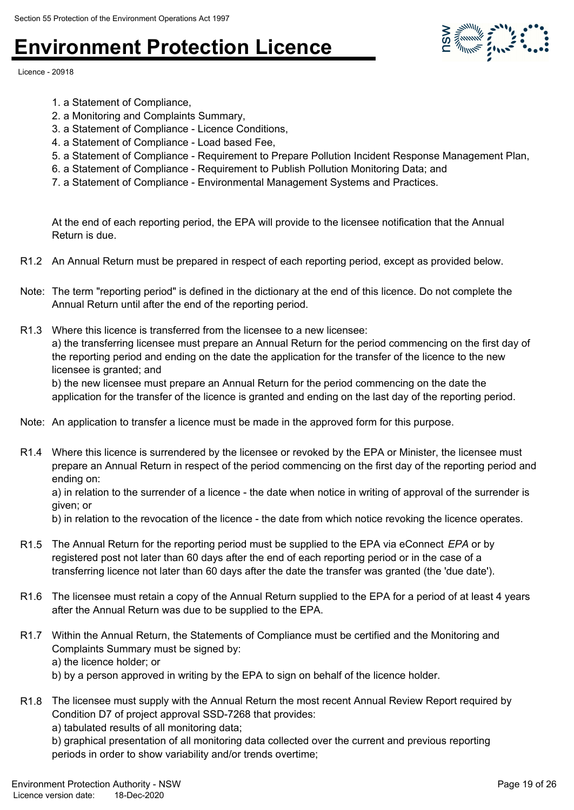Licence - 20918

- 1. a Statement of Compliance,
- 2. a Monitoring and Complaints Summary,
- 3. a Statement of Compliance Licence Conditions,
- 4. a Statement of Compliance Load based Fee,
- 5. a Statement of Compliance Requirement to Prepare Pollution Incident Response Management Plan,
- 6. a Statement of Compliance Requirement to Publish Pollution Monitoring Data; and
- 7. a Statement of Compliance Environmental Management Systems and Practices.

At the end of each reporting period, the EPA will provide to the licensee notification that the Annual Return is due.

- R1.2 An Annual Return must be prepared in respect of each reporting period, except as provided below.
- Note: The term "reporting period" is defined in the dictionary at the end of this licence. Do not complete the Annual Return until after the end of the reporting period.
- R1.3 Where this licence is transferred from the licensee to a new licensee: a) the transferring licensee must prepare an Annual Return for the period commencing on the first day of the reporting period and ending on the date the application for the transfer of the licence to the new licensee is granted; and b) the new licensee must prepare an Annual Return for the period commencing on the date the

application for the transfer of the licence is granted and ending on the last day of the reporting period.

- Note: An application to transfer a licence must be made in the approved form for this purpose.
- R1.4 Where this licence is surrendered by the licensee or revoked by the EPA or Minister, the licensee must prepare an Annual Return in respect of the period commencing on the first day of the reporting period and ending on:

a) in relation to the surrender of a licence - the date when notice in writing of approval of the surrender is given; or

b) in relation to the revocation of the licence - the date from which notice revoking the licence operates.

- R1.5 The Annual Return for the reporting period must be supplied to the EPA via eConnect *EPA* or by registered post not later than 60 days after the end of each reporting period or in the case of a transferring licence not later than 60 days after the date the transfer was granted (the 'due date').
- R1.6 The licensee must retain a copy of the Annual Return supplied to the EPA for a period of at least 4 years after the Annual Return was due to be supplied to the EPA.
- R1.7 Within the Annual Return, the Statements of Compliance must be certified and the Monitoring and Complaints Summary must be signed by:
	- a) the licence holder; or
	- b) by a person approved in writing by the EPA to sign on behalf of the licence holder.
- R1.8 The licensee must supply with the Annual Return the most recent Annual Review Report required by Condition D7 of project approval SSD-7268 that provides:
	- a) tabulated results of all monitoring data;

b) graphical presentation of all monitoring data collected over the current and previous reporting periods in order to show variability and/or trends overtime;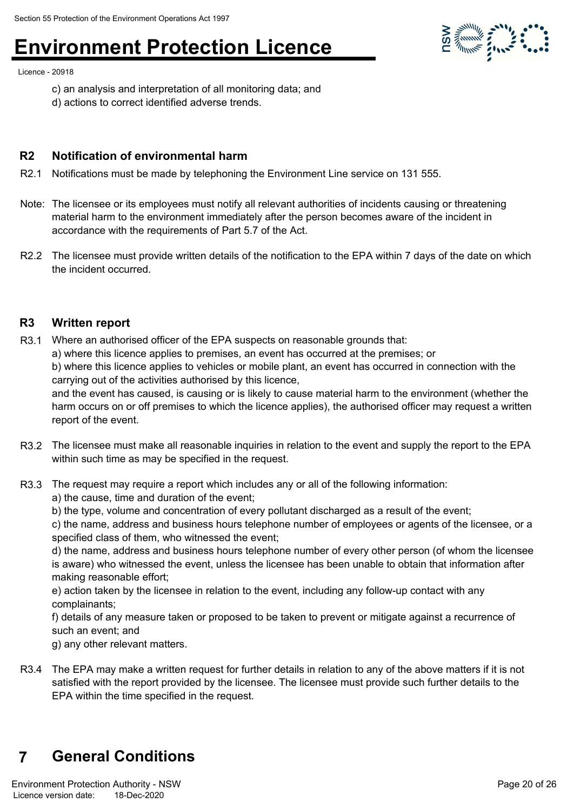Licence - 20918

- c) an analysis and interpretation of all monitoring data; and
- d) actions to correct identified adverse trends.

#### **R2 Notification of environmental harm**

- R2.1 Notifications must be made by telephoning the Environment Line service on 131 555.
- Note: The licensee or its employees must notify all relevant authorities of incidents causing or threatening material harm to the environment immediately after the person becomes aware of the incident in accordance with the requirements of Part 5.7 of the Act.
- R2.2 The licensee must provide written details of the notification to the EPA within 7 days of the date on which the incident occurred.

#### **R3 Written report**

- R3.1 Where an authorised officer of the EPA suspects on reasonable grounds that:
	- a) where this licence applies to premises, an event has occurred at the premises; or

b) where this licence applies to vehicles or mobile plant, an event has occurred in connection with the carrying out of the activities authorised by this licence,

and the event has caused, is causing or is likely to cause material harm to the environment (whether the harm occurs on or off premises to which the licence applies), the authorised officer may request a written report of the event.

- R3.2 The licensee must make all reasonable inquiries in relation to the event and supply the report to the EPA within such time as may be specified in the request.
- R3.3 The request may require a report which includes any or all of the following information: a) the cause, time and duration of the event;
	- b) the type, volume and concentration of every pollutant discharged as a result of the event;

c) the name, address and business hours telephone number of employees or agents of the licensee, or a specified class of them, who witnessed the event;

d) the name, address and business hours telephone number of every other person (of whom the licensee is aware) who witnessed the event, unless the licensee has been unable to obtain that information after making reasonable effort;

e) action taken by the licensee in relation to the event, including any follow-up contact with any complainants;

f) details of any measure taken or proposed to be taken to prevent or mitigate against a recurrence of such an event; and

g) any other relevant matters.

R3.4 The EPA may make a written request for further details in relation to any of the above matters if it is not satisfied with the report provided by the licensee. The licensee must provide such further details to the EPA within the time specified in the request.

### **7 General Conditions**

**SOLUTION STATE**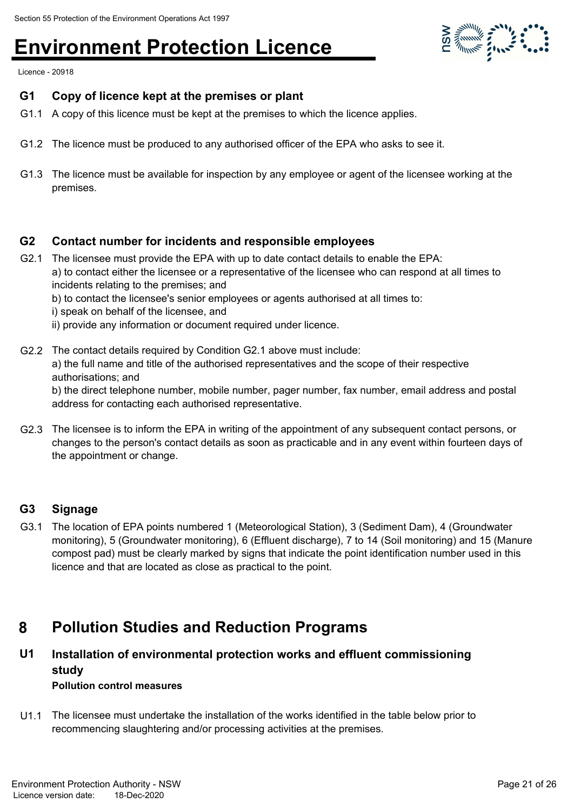

Licence - 20918

#### **G1 Copy of licence kept at the premises or plant**

- G1.1 A copy of this licence must be kept at the premises to which the licence applies.
- G1.2 The licence must be produced to any authorised officer of the EPA who asks to see it.
- G1.3 The licence must be available for inspection by any employee or agent of the licensee working at the premises.

#### **G2 Contact number for incidents and responsible employees**

- G2.1 The licensee must provide the EPA with up to date contact details to enable the EPA: a) to contact either the licensee or a representative of the licensee who can respond at all times to incidents relating to the premises; and
	- b) to contact the licensee's senior employees or agents authorised at all times to:
	- i) speak on behalf of the licensee, and
	- ii) provide any information or document required under licence.
- G2.2 The contact details required by Condition G2.1 above must include: a) the full name and title of the authorised representatives and the scope of their respective authorisations; and b) the direct telephone number, mobile number, pager number, fax number, email address and postal address for contacting each authorised representative.
- G2.3 The licensee is to inform the EPA in writing of the appointment of any subsequent contact persons, or changes to the person's contact details as soon as practicable and in any event within fourteen days of the appointment or change.

#### **G3 Signage**

G3.1 The location of EPA points numbered 1 (Meteorological Station), 3 (Sediment Dam), 4 (Groundwater monitoring), 5 (Groundwater monitoring), 6 (Effluent discharge), 7 to 14 (Soil monitoring) and 15 (Manure compost pad) must be clearly marked by signs that indicate the point identification number used in this licence and that are located as close as practical to the point.

### **8 Pollution Studies and Reduction Programs**

#### **Installation of environmental protection works and effluent commissioning study U1 Pollution control measures**

U1.1 The licensee must undertake the installation of the works identified in the table below prior to recommencing slaughtering and/or processing activities at the premises.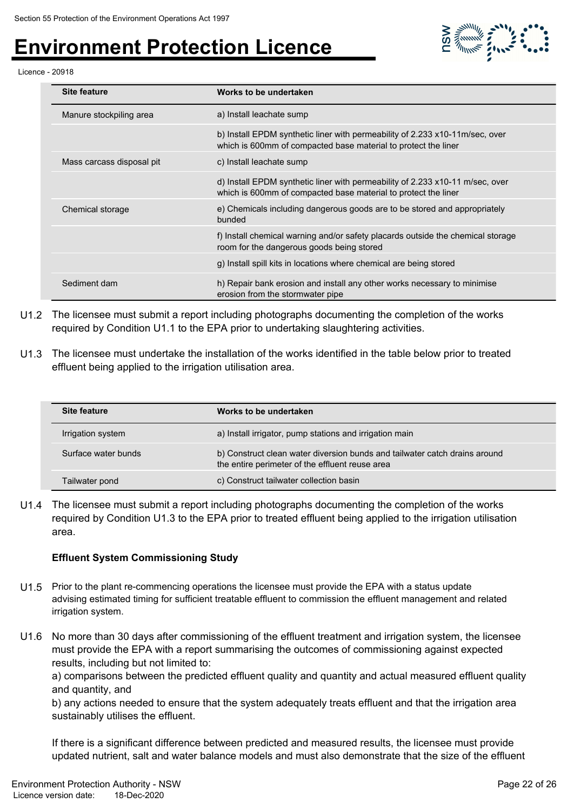

#### Licence - 20918

| <b>Site feature</b>       | Works to be undertaken                                                                                                                          |
|---------------------------|-------------------------------------------------------------------------------------------------------------------------------------------------|
| Manure stockpiling area   | a) Install leachate sump                                                                                                                        |
|                           | b) Install EPDM synthetic liner with permeability of 2.233 x10-11m/sec, over<br>which is 600mm of compacted base material to protect the liner  |
| Mass carcass disposal pit | c) Install leachate sump                                                                                                                        |
|                           | d) Install EPDM synthetic liner with permeability of 2.233 x10-11 m/sec, over<br>which is 600mm of compacted base material to protect the liner |
| Chemical storage          | e) Chemicals including dangerous goods are to be stored and appropriately<br>bunded                                                             |
|                           | f) Install chemical warning and/or safety placards outside the chemical storage<br>room for the dangerous goods being stored                    |
|                           | g) Install spill kits in locations where chemical are being stored                                                                              |
| Sediment dam              | h) Repair bank erosion and install any other works necessary to minimise<br>erosion from the stormwater pipe                                    |

- U1.2 The licensee must submit a report including photographs documenting the completion of the works required by Condition U1.1 to the EPA prior to undertaking slaughtering activities.
- U1.3 The licensee must undertake the installation of the works identified in the table below prior to treated effluent being applied to the irrigation utilisation area.

| <b>Site feature</b> | Works to be undertaken                                                                                                        |
|---------------------|-------------------------------------------------------------------------------------------------------------------------------|
| Irrigation system   | a) Install irrigator, pump stations and irrigation main                                                                       |
| Surface water bunds | b) Construct clean water diversion bunds and tailwater catch drains around<br>the entire perimeter of the effluent reuse area |
| Tailwater pond      | c) Construct tailwater collection basin                                                                                       |

U1.4 The licensee must submit a report including photographs documenting the completion of the works required by Condition U1.3 to the EPA prior to treated effluent being applied to the irrigation utilisation area.

#### **Effluent System Commissioning Study**

- U1.5 Prior to the plant re-commencing operations the licensee must provide the EPA with a status update advising estimated timing for sufficient treatable effluent to commission the effluent management and related irrigation system.
- U1.6 No more than 30 days after commissioning of the effluent treatment and irrigation system, the licensee must provide the EPA with a report summarising the outcomes of commissioning against expected results, including but not limited to:

a) comparisons between the predicted effluent quality and quantity and actual measured effluent quality and quantity, and

b) any actions needed to ensure that the system adequately treats effluent and that the irrigation area sustainably utilises the effluent.

If there is a significant difference between predicted and measured results, the licensee must provide updated nutrient, salt and water balance models and must also demonstrate that the size of the effluent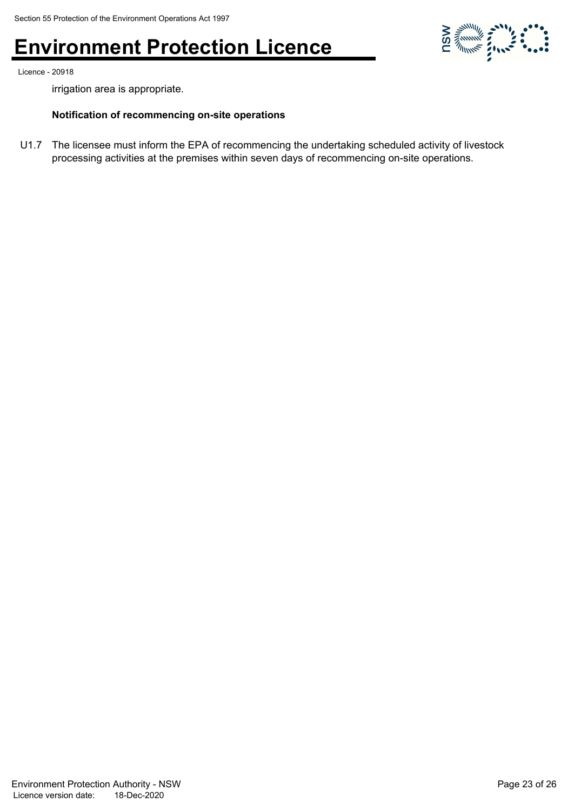

Licence - 20918

irrigation area is appropriate.

#### **Notification of recommencing on-site operations**

U1.7 The licensee must inform the EPA of recommencing the undertaking scheduled activity of livestock processing activities at the premises within seven days of recommencing on-site operations.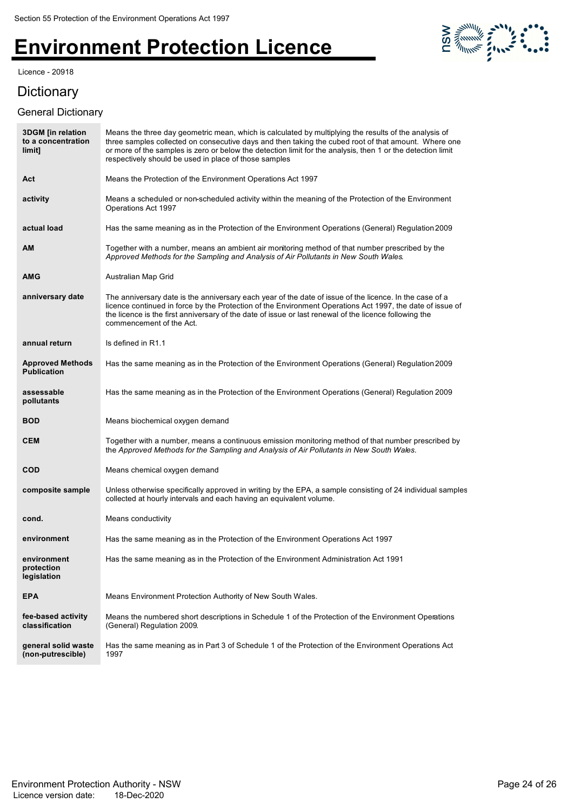#### Licence - 20918



### Dictionary

#### General Dictionary

| <b>3DGM</b> [in relation<br>to a concentration<br>limit] | Means the three day geometric mean, which is calculated by multiplying the results of the analysis of<br>three samples collected on consecutive days and then taking the cubed root of that amount. Where one<br>or more of the samples is zero or below the detection limit for the analysis, then 1 or the detection limit<br>respectively should be used in place of those samples |
|----------------------------------------------------------|---------------------------------------------------------------------------------------------------------------------------------------------------------------------------------------------------------------------------------------------------------------------------------------------------------------------------------------------------------------------------------------|
| Act                                                      | Means the Protection of the Environment Operations Act 1997                                                                                                                                                                                                                                                                                                                           |
| activity                                                 | Means a scheduled or non-scheduled activity within the meaning of the Protection of the Environment<br>Operations Act 1997                                                                                                                                                                                                                                                            |
| actual load                                              | Has the same meaning as in the Protection of the Environment Operations (General) Regulation 2009                                                                                                                                                                                                                                                                                     |
| <b>AM</b>                                                | Together with a number, means an ambient air monitoring method of that number prescribed by the<br>Approved Methods for the Sampling and Analysis of Air Pollutants in New South Wales.                                                                                                                                                                                               |
| <b>AMG</b>                                               | Australian Map Grid                                                                                                                                                                                                                                                                                                                                                                   |
| anniversary date                                         | The anniversary date is the anniversary each year of the date of issue of the licence. In the case of a<br>licence continued in force by the Protection of the Environment Operations Act 1997, the date of issue of<br>the licence is the first anniversary of the date of issue or last renewal of the licence following the<br>commencement of the Act.                            |
| annual return                                            | Is defined in R1.1                                                                                                                                                                                                                                                                                                                                                                    |
| <b>Approved Methods</b><br><b>Publication</b>            | Has the same meaning as in the Protection of the Environment Operations (General) Regulation 2009                                                                                                                                                                                                                                                                                     |
| assessable<br>pollutants                                 | Has the same meaning as in the Protection of the Environment Operations (General) Regulation 2009                                                                                                                                                                                                                                                                                     |
| <b>BOD</b>                                               | Means biochemical oxygen demand                                                                                                                                                                                                                                                                                                                                                       |
| <b>CEM</b>                                               | Together with a number, means a continuous emission monitoring method of that number prescribed by<br>the Approved Methods for the Sampling and Analysis of Air Pollutants in New South Wales.                                                                                                                                                                                        |
| <b>COD</b>                                               | Means chemical oxygen demand                                                                                                                                                                                                                                                                                                                                                          |
| composite sample                                         | Unless otherwise specifically approved in writing by the EPA, a sample consisting of 24 individual samples<br>collected at hourly intervals and each having an equivalent volume.                                                                                                                                                                                                     |
| cond.                                                    | Means conductivity                                                                                                                                                                                                                                                                                                                                                                    |
| environment                                              | Has the same meaning as in the Protection of the Environment Operations Act 1997                                                                                                                                                                                                                                                                                                      |
| environment<br>protection<br>legislation                 | Has the same meaning as in the Protection of the Environment Administration Act 1991                                                                                                                                                                                                                                                                                                  |
| <b>EPA</b>                                               | Means Environment Protection Authority of New South Wales.                                                                                                                                                                                                                                                                                                                            |
| fee-based activity<br>classification                     | Means the numbered short descriptions in Schedule 1 of the Protection of the Environment Operations<br>(General) Regulation 2009.                                                                                                                                                                                                                                                     |
| general solid waste<br>(non-putrescible)                 | Has the same meaning as in Part 3 of Schedule 1 of the Protection of the Environment Operations Act<br>1997                                                                                                                                                                                                                                                                           |
|                                                          |                                                                                                                                                                                                                                                                                                                                                                                       |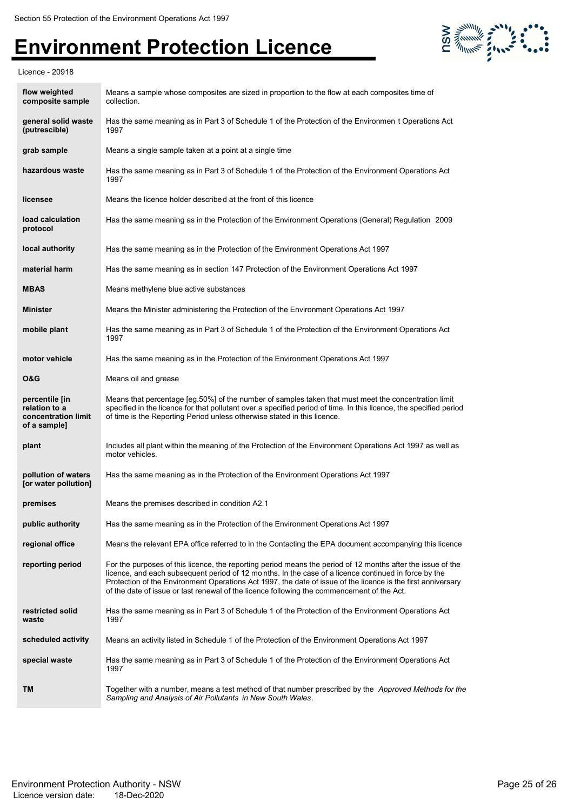

Licence - 20918

| flow weighted<br>composite sample                                      | Means a sample whose composites are sized in proportion to the flow at each composites time of<br>collection.                                                                                                                                                                                                                                                                                                                     |
|------------------------------------------------------------------------|-----------------------------------------------------------------------------------------------------------------------------------------------------------------------------------------------------------------------------------------------------------------------------------------------------------------------------------------------------------------------------------------------------------------------------------|
| general solid waste<br>(putrescible)                                   | Has the same meaning as in Part 3 of Schedule 1 of the Protection of the Environmen t Operations Act<br>1997                                                                                                                                                                                                                                                                                                                      |
| grab sample                                                            | Means a single sample taken at a point at a single time                                                                                                                                                                                                                                                                                                                                                                           |
| hazardous waste                                                        | Has the same meaning as in Part 3 of Schedule 1 of the Protection of the Environment Operations Act<br>1997                                                                                                                                                                                                                                                                                                                       |
| licensee                                                               | Means the licence holder described at the front of this licence                                                                                                                                                                                                                                                                                                                                                                   |
| load calculation<br>protocol                                           | Has the same meaning as in the Protection of the Environment Operations (General) Regulation 2009                                                                                                                                                                                                                                                                                                                                 |
| local authority                                                        | Has the same meaning as in the Protection of the Environment Operations Act 1997                                                                                                                                                                                                                                                                                                                                                  |
| material harm                                                          | Has the same meaning as in section 147 Protection of the Environment Operations Act 1997                                                                                                                                                                                                                                                                                                                                          |
| <b>MBAS</b>                                                            | Means methylene blue active substances                                                                                                                                                                                                                                                                                                                                                                                            |
| <b>Minister</b>                                                        | Means the Minister administering the Protection of the Environment Operations Act 1997                                                                                                                                                                                                                                                                                                                                            |
| mobile plant                                                           | Has the same meaning as in Part 3 of Schedule 1 of the Protection of the Environment Operations Act<br>1997                                                                                                                                                                                                                                                                                                                       |
| motor vehicle                                                          | Has the same meaning as in the Protection of the Environment Operations Act 1997                                                                                                                                                                                                                                                                                                                                                  |
| <b>O&amp;G</b>                                                         | Means oil and grease                                                                                                                                                                                                                                                                                                                                                                                                              |
| percentile [in<br>relation to a<br>concentration limit<br>of a sample] | Means that percentage [eg.50%] of the number of samples taken that must meet the concentration limit<br>specified in the licence for that pollutant over a specified period of time. In this licence, the specified period<br>of time is the Reporting Period unless otherwise stated in this licence.                                                                                                                            |
| plant                                                                  | Includes all plant within the meaning of the Protection of the Environment Operations Act 1997 as well as<br>motor vehicles.                                                                                                                                                                                                                                                                                                      |
| pollution of waters<br>[or water pollution]                            | Has the same meaning as in the Protection of the Environment Operations Act 1997                                                                                                                                                                                                                                                                                                                                                  |
| premises                                                               | Means the premises described in condition A2.1                                                                                                                                                                                                                                                                                                                                                                                    |
| public authority                                                       | Has the same meaning as in the Protection of the Environment Operations Act 1997                                                                                                                                                                                                                                                                                                                                                  |
| regional office                                                        | Means the relevant EPA office referred to in the Contacting the EPA document accompanying this licence                                                                                                                                                                                                                                                                                                                            |
| reporting period                                                       | For the purposes of this licence, the reporting period means the period of 12 months after the issue of the<br>licence, and each subsequent period of 12 months. In the case of a licence continued in force by the<br>Protection of the Environment Operations Act 1997, the date of issue of the licence is the first anniversary<br>of the date of issue or last renewal of the licence following the commencement of the Act. |
| restricted solid<br>waste                                              | Has the same meaning as in Part 3 of Schedule 1 of the Protection of the Environment Operations Act<br>1997                                                                                                                                                                                                                                                                                                                       |
| scheduled activity                                                     | Means an activity listed in Schedule 1 of the Protection of the Environment Operations Act 1997                                                                                                                                                                                                                                                                                                                                   |
| special waste                                                          | Has the same meaning as in Part 3 of Schedule 1 of the Protection of the Environment Operations Act<br>1997                                                                                                                                                                                                                                                                                                                       |
| TM                                                                     | Together with a number, means a test method of that number prescribed by the <i>Approved Methods for the</i><br>Sampling and Analysis of Air Pollutants in New South Wales.                                                                                                                                                                                                                                                       |